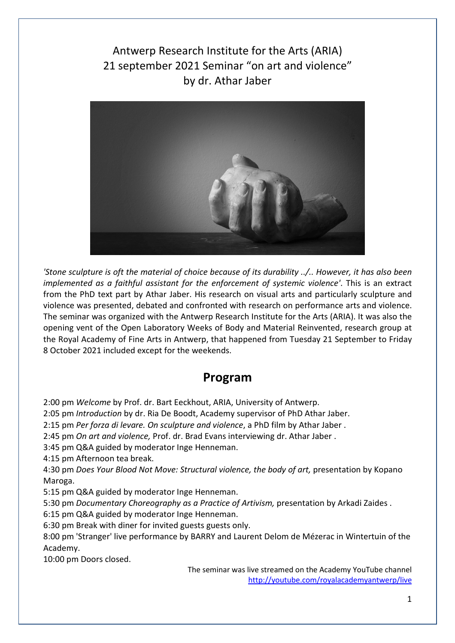Antwerp Research Institute for the Arts (ARIA) 21 september 2021 Seminar "on art and violence" by dr. Athar Jaber



*'Stone sculpture is oft the material of choice because of its durability ../.. However, it has also been implemented as a faithful assistant for the enforcement of systemic violence'*. This is an extract from the PhD text part by Athar Jaber. His research on visual arts and particularly sculpture and violence was presented, debated and confronted with research on performance arts and violence. The seminar was organized with the Antwerp Research Institute for the Arts (ARIA). It was also the opening vent of the Open Laboratory Weeks of Body and Material Reinvented, research group at the Royal Academy of Fine Arts in Antwerp, that happened from Tuesday 21 September to Friday 8 October 2021 included except for the weekends.

# **Program**

2:00 pm *Welcome* by Prof. dr. Bart Eeckhout, ARIA, University of Antwerp.

2:05 pm *Introduction* by dr. Ria De Boodt, Academy supervisor of PhD Athar Jaber.

2:15 pm *Per forza di levare. On sculpture and violence*, a PhD film by Athar Jaber .

2:45 pm *On art and violence,* Prof. dr. Brad Evans interviewing dr. Athar Jaber .

3:45 pm Q&A guided by moderator Inge Henneman.

4:15 pm Afternoon tea break.

4:30 pm *Does Your Blood Not Move: Structural violence, the body of art,* presentation by Kopano Maroga.

5:15 pm Q&A guided by moderator Inge Henneman.

5:30 pm *Documentary Choreography as a Practice of Artivism,* presentation by Arkadi Zaides .

6:15 pm Q&A guided by moderator Inge Henneman.

6:30 pm Break with diner for invited guests guests only.

8:00 pm 'Stranger' live performance by BARRY and Laurent Delom de Mézerac in Wintertuin of the Academy.

10:00 pm Doors closed.

The seminar was live streamed on the Academy YouTube channel http://youtube.com/royalacademyantwerp/live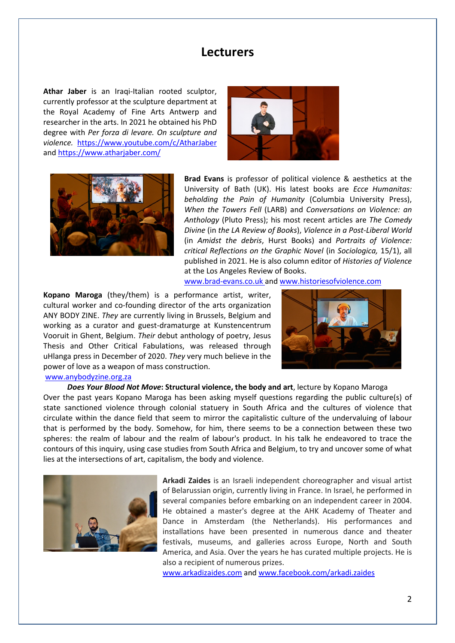# **Lecturers**

**Athar Jaber** is an Iraqi-Italian rooted sculptor, currently professor at the sculpture department at the Royal Academy of Fine Arts Antwerp and researcher in the arts. In 2021 he obtained his PhD degree with *Per forza di levare. On sculpture and violence.* https://www.youtube.com/c/AtharJaber and https://www.atharjaber.com/





**Brad Evans** is professor of political violence & aesthetics at the University of Bath (UK). His latest books are *Ecce Humanitas: beholding the Pain of Humanity* (Columbia University Press), *When the Towers Fell* (LARB) and *Conversations on Violence: an Anthology* (Pluto Press); his most recent articles are *The Comedy Divine* (in *the LA Review of Books*), *Violence in a Post-Liberal World*  (in *Amidst the debris*, Hurst Books) and *Portraits of Violence: critical Reflections on the Graphic Novel* (in *Sociologica,* 15/1), all published in 2021. He is also column editor of *Histories of Violence*  at the Los Angeles Review of Books.

www.brad-evans.co.uk and www.historiesofviolence.com

**Kopano Maroga** (they/them) is a performance artist, writer, cultural worker and co-founding director of the arts organization ANY BODY ZINE. *They* are currently living in Brussels, Belgium and working as a curator and guest-dramaturge at Kunstencentrum Vooruit in Ghent, Belgium. *Their* debut anthology of poetry, Jesus Thesis and Other Critical Fabulations, was released through uHlanga press in December of 2020. *They* very much believe in the power of love as a weapon of mass construction.



#### www.anybodyzine.org.za

*Does Your Blood Not Move***: Structural violence, the body and art**, lecture by Kopano Maroga Over the past years Kopano Maroga has been asking myself questions regarding the public culture(s) of state sanctioned violence through colonial statuery in South Africa and the cultures of violence that circulate within the dance field that seem to mirror the capitalistic culture of the undervaluing of labour that is performed by the body. Somehow, for him, there seems to be a connection between these two spheres: the realm of labour and the realm of labour's product. In his talk he endeavored to trace the contours of this inquiry, using case studies from South Africa and Belgium, to try and uncover some of what lies at the intersections of art, capitalism, the body and violence.



**Arkadi Zaides** is an Israeli independent choreographer and visual artist of Belarussian origin, currently living in France. In Israel, he performed in several companies before embarking on an independent career in 2004. He obtained a master's degree at the AHK Academy of Theater and Dance in Amsterdam (the Netherlands). His performances and installations have been presented in numerous dance and theater festivals, museums, and galleries across Europe, North and South America, and Asia. Over the years he has curated multiple projects. He is also a recipient of numerous prizes.

www.arkadizaides.com and www.facebook.com/arkadi.zaides